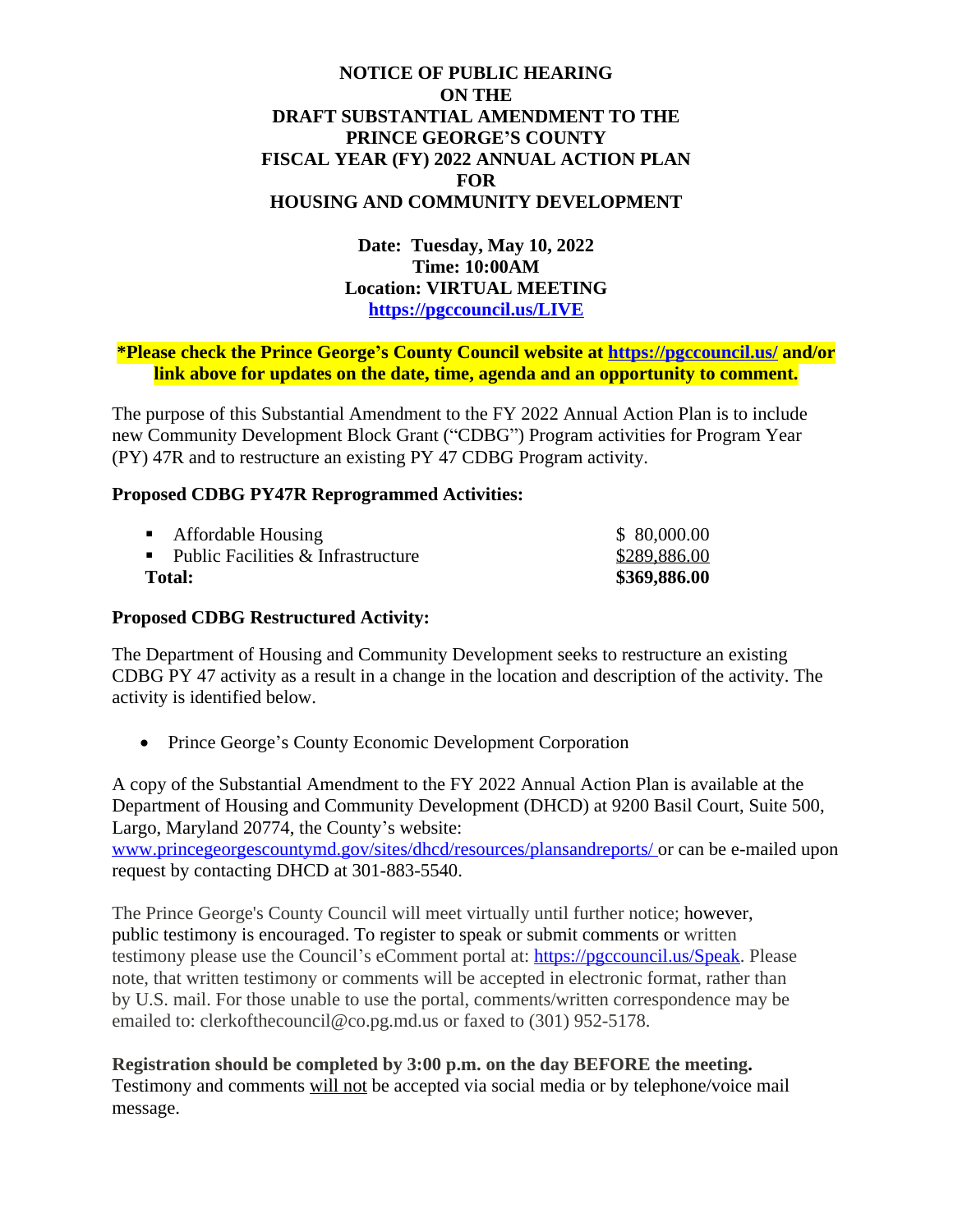## **NOTICE OF PUBLIC HEARING ON THE DRAFT SUBSTANTIAL AMENDMENT TO THE PRINCE GEORGE'S COUNTY FISCAL YEAR (FY) 2022 ANNUAL ACTION PLAN FOR HOUSING AND COMMUNITY DEVELOPMENT**

**Date: Tuesday, May 10, 2022 Time: 10:00AM Location: VIRTUAL MEETING <https://pgccouncil.us/LIVE>**

## **\*Please check the Prince George's County Council website at <https://pgccouncil.us/>and/or link above for updates on the date, time, agenda and an opportunity to comment.**

The purpose of this Substantial Amendment to the FY 2022 Annual Action Plan is to include new Community Development Block Grant ("CDBG") Program activities for Program Year (PY) 47R and to restructure an existing PY 47 CDBG Program activity.

## **Proposed CDBG PY47R Reprogrammed Activities:**

| <b>Total:</b> |                                        | \$369,886.00 |
|---------------|----------------------------------------|--------------|
|               | • Public Facilities $&$ Infrastructure | \$289,886.00 |
|               | • Affordable Housing                   | \$80,000.00  |

## **Proposed CDBG Restructured Activity:**

The Department of Housing and Community Development seeks to restructure an existing CDBG PY 47 activity as a result in a change in the location and description of the activity. The activity is identified below.

• Prince George's County Economic Development Corporation

A copy of the Substantial Amendment to the FY 2022 Annual Action Plan is available at the Department of Housing and Community Development (DHCD) at 9200 Basil Court, Suite 500, Largo, Maryland 20774, the County's website:

[www.princegeorgescountymd.gov/sites/dhcd/resources/plansandreports/ o](http://www.princegeorgescountymd.gov/sites/dhcd/resources/plansandreports/)r can be e-mailed upon request by contacting DHCD at 301-883-5540.

The Prince George's County Council will meet virtually until further notice; however, public testimony is encouraged. To register to speak or submit comments or written testimony please use the Council's eComment portal at: [https://pgccouncil.us/Speak. P](https://pgccouncil.us/Speak)lease note, that written testimony or comments will be accepted in electronic format, rather than by U.S. mail. For those unable to use the portal, comments/written correspondence may be emailed to: [clerkofthecouncil@co.pg.md.us o](mailto:clerkofthecouncil@co.pg.md.us)r faxed to (301) 952-5178.

**Registration should be completed by 3:00 p.m. on the day BEFORE the meeting.**  Testimony and comments will not be accepted via social media or by telephone/voice mail message.